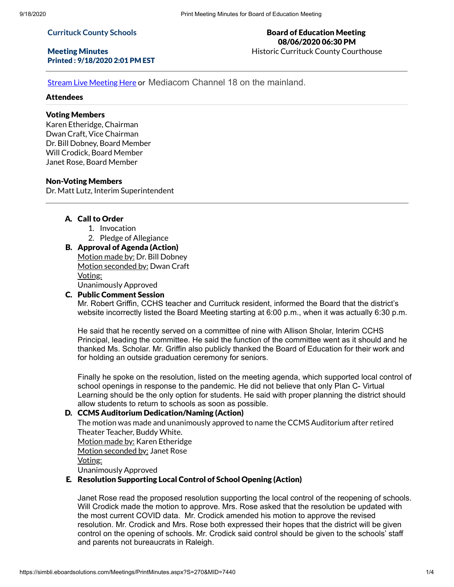#### **Currituck County Schools**

# Meeting Minutes Printed : 9/18/2020 2:01 PM EST

## Board of Education Meeting 08/06/2020 06:30 PM Historic Currituck County Courthouse

Stream Live [Meeting](http://currituckcountync.iqm2.com/Citizens/default.aspx) Here or Mediacom Channel 18 on the mainland.

# Attendees

# Voting Members

Karen Etheridge, Chairman Dwan Craft, Vice Chairman Dr. Bill Dobney, Board Member Will Crodick, Board Member Janet Rose, Board Member

#### Non-Voting Members

Dr. Matt Lutz, Interim Superintendent

# A. Call to Order

- 1. Invocation
- 2. Pledge of Allegiance

# B. Approval of Agenda (Action)

Motion made by: Dr. Bill Dobney Motion seconded by: Dwan Craft Voting: Unanimously Approved

#### C. Public Comment Session

Mr. Robert Griffin, CCHS teacher and Currituck resident, informed the Board that the district's website incorrectly listed the Board Meeting starting at 6:00 p.m., when it was actually 6:30 p.m.

He said that he recently served on a committee of nine with Allison Sholar, Interim CCHS Principal, leading the committee. He said the function of the committee went as it should and he thanked Ms. Scholar. Mr. Griffin also publicly thanked the Board of Education for their work and for holding an outside graduation ceremony for seniors.

Finally he spoke on the resolution, listed on the meeting agenda, which supported local control of school openings in response to the pandemic. He did not believe that only Plan C- Virtual Learning should be the only option for students. He said with proper planning the district should allow students to return to schools as soon as possible.

#### D. CCMS Auditorium Dedication/Naming (Action)

The motion was made and unanimously approved to name the CCMS Auditorium after retired Theater Teacher, Buddy White.

Motion made by: Karen Etheridge

Motion seconded by: Janet Rose

## Voting:

Unanimously Approved

# E. Resolution Supporting Local Control of School Opening (Action)

Janet Rose read the proposed resolution supporting the local control of the reopening of schools. Will Crodick made the motion to approve. Mrs. Rose asked that the resolution be updated with the most current COVID data. Mr. Crodick amended his motion to approve the revised resolution. Mr. Crodick and Mrs. Rose both expressed their hopes that the district will be given control on the opening of schools. Mr. Crodick said control should be given to the schools' staff and parents not bureaucrats in Raleigh.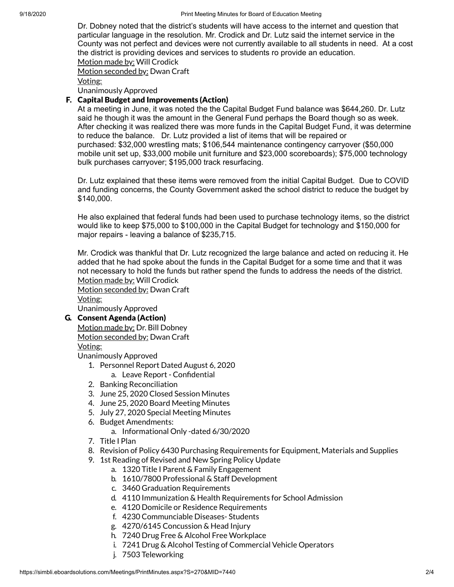Dr. Dobney noted that the district's students will have access to the internet and question that particular language in the resolution. Mr. Crodick and Dr. Lutz said the internet service in the County was not perfect and devices were not currently available to all students in need. At a cost the district is providing devices and services to students ro provide an education. Motion made by: Will Crodick

Motion seconded by: Dwan Craft

Voting:

Unanimously Approved

# F. Capital Budget and Improvements (Action)

At a meeting in June, it was noted the the Capital Budget Fund balance was \$644,260. Dr. Lutz said he though it was the amount in the General Fund perhaps the Board though so as week. After checking it was realized there was more funds in the Capital Budget Fund, it was determine to reduce the balance. Dr. Lutz provided a list of items that will be repaired or purchased: \$32,000 wrestling mats; \$106,544 maintenance contingency carryover (\$50,000 mobile unit set up, \$33,000 mobile unit furniture and \$23,000 scoreboards); \$75,000 technology bulk purchases carryover; \$195,000 track resurfacing.

Dr. Lutz explained that these items were removed from the initial Capital Budget. Due to COVID and funding concerns, the County Government asked the school district to reduce the budget by \$140,000.

He also explained that federal funds had been used to purchase technology items, so the district would like to keep \$75,000 to \$100,000 in the Capital Budget for technology and \$150,000 for major repairs - leaving a balance of \$235,715.

Mr. Crodick was thankful that Dr. Lutz recognized the large balance and acted on reducing it. He added that he had spoke about the funds in the Capital Budget for a some time and that it was not necessary to hold the funds but rather spend the funds to address the needs of the district. Motion made by: Will Crodick

Motion seconded by: Dwan Craft Voting:

Unanimously Approved

# G. Consent Agenda (Action)

Motion made by: Dr. Bill Dobney Motion seconded by: Dwan Craft Voting:

Unanimously Approved

- 1. Personnel Report Dated August 6, 2020
	- a. Leave Report Confidential
- 2. Banking Reconciliation
- 3. June 25, 2020 Closed Session Minutes
- 4. June 25, 2020 Board Meeting Minutes
- 5. July 27, 2020 Special Meeting Minutes
- 6. Budget Amendments:
	- a. Informational Only -dated 6/30/2020
- 7. Title I Plan
- 8. Revision of Policy 6430 Purchasing Requirements for Equipment, Materials and Supplies
- 9. 1st Reading of Revised and New Spring Policy Update
	- a. 1320 Title I Parent & Family Engagement
	- b. 1610/7800 Professional & Staff Development
	- c. 3460 Graduation Requirements
	- d. 4110 Immunization & Health Requirements for School Admission
	- e. 4120 Domicile or Residence Requirements
	- f. 4230 Communciable Diseases- Students
	- g. 4270/6145 Concussion & Head Injury
	- h. 7240 Drug Free & Alcohol Free Workplace
	- i. 7241 Drug & Alcohol Testing of Commercial Vehicle Operators
	- j. 7503 Teleworking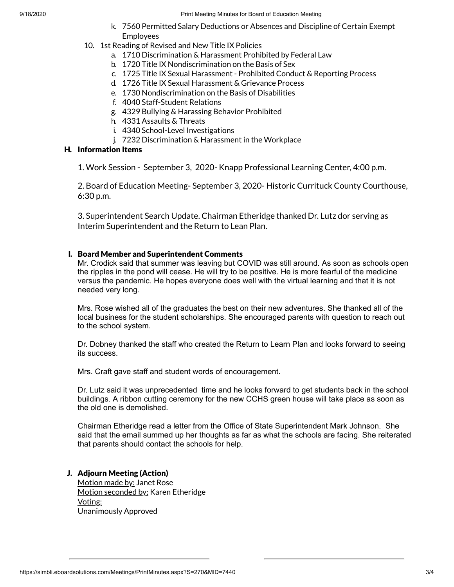9/18/2020 **Print Meeting Minutes for Board of Education Meeting** 

- k. 7560 Permitted Salary Deductions or Absences and Discipline of Certain Exempt Employees
- 10. 1st Reading of Revised and New Title IX Policies
	- a. 1710 Discrimination & Harassment Prohibited by Federal Law
	- b. 1720 Title IX Nondiscrimination on the Basis of Sex
	- c. 1725 Title IX Sexual Harassment Prohibited Conduct & Reporting Process
	- d. 1726 Title IX Sexual Harassment & Grievance Process
	- e. 1730 Nondiscrimination on the Basis of Disabilities
	- f. 4040 Staff-Student Relations
	- g. 4329 Bullying & Harassing Behavior Prohibited
	- h. 4331 Assaults & Threats
	- i. 4340 School-Level Investigations
	- j. 7232 Discrimination & Harassment in the Workplace

# H. Information Items

1. Work Session - September 3, 2020- Knapp Professional Learning Center, 4:00 p.m.

2. Board of Education Meeting- September 3, 2020- Historic Currituck County Courthouse, 6:30 p.m.

3. Superintendent Search Update. Chairman Etheridge thanked Dr. Lutz dor serving as Interim Superintendent and the Return to Lean Plan.

# I. Board Member and Superintendent Comments

Mr. Crodick said that summer was leaving but COVID was still around. As soon as schools open the ripples in the pond will cease. He will try to be positive. He is more fearful of the medicine versus the pandemic. He hopes everyone does well with the virtual learning and that it is not needed very long.

Mrs. Rose wished all of the graduates the best on their new adventures. She thanked all of the local business for the student scholarships. She encouraged parents with question to reach out to the school system.

Dr. Dobney thanked the staff who created the Return to Learn Plan and looks forward to seeing its success.

Mrs. Craft gave staff and student words of encouragement.

Dr. Lutz said it was unprecedented time and he looks forward to get students back in the school buildings. A ribbon cutting ceremony for the new CCHS green house will take place as soon as the old one is demolished.

Chairman Etheridge read a letter from the Office of State Superintendent Mark Johnson. She said that the email summed up her thoughts as far as what the schools are facing. She reiterated that parents should contact the schools for help.

# J. Adjourn Meeting (Action)

Motion made by: Janet Rose Motion seconded by: Karen Etheridge Voting: Unanimously Approved

https://simbli.eboardsolutions.com/Meetings/PrintMinutes.aspx?S=270&MID=7440 3/4